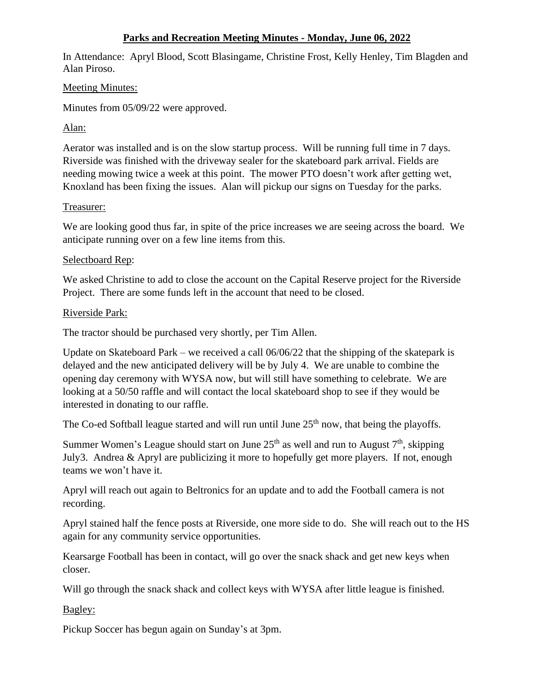## **Parks and Recreation Meeting Minutes - Monday, June 06, 2022**

In Attendance: Apryl Blood, Scott Blasingame, Christine Frost, Kelly Henley, Tim Blagden and Alan Piroso.

#### Meeting Minutes:

Minutes from 05/09/22 were approved.

Alan:

Aerator was installed and is on the slow startup process. Will be running full time in 7 days. Riverside was finished with the driveway sealer for the skateboard park arrival. Fields are needing mowing twice a week at this point. The mower PTO doesn't work after getting wet, Knoxland has been fixing the issues. Alan will pickup our signs on Tuesday for the parks.

## Treasurer:

We are looking good thus far, in spite of the price increases we are seeing across the board. We anticipate running over on a few line items from this.

## Selectboard Rep:

We asked Christine to add to close the account on the Capital Reserve project for the Riverside Project. There are some funds left in the account that need to be closed.

## Riverside Park:

The tractor should be purchased very shortly, per Tim Allen.

Update on Skateboard Park – we received a call 06/06/22 that the shipping of the skatepark is delayed and the new anticipated delivery will be by July 4. We are unable to combine the opening day ceremony with WYSA now, but will still have something to celebrate. We are looking at a 50/50 raffle and will contact the local skateboard shop to see if they would be interested in donating to our raffle.

The Co-ed Softball league started and will run until June  $25<sup>th</sup>$  now, that being the playoffs.

Summer Women's League should start on June  $25<sup>th</sup>$  as well and run to August  $7<sup>th</sup>$ , skipping July3. Andrea & Apryl are publicizing it more to hopefully get more players. If not, enough teams we won't have it.

Apryl will reach out again to Beltronics for an update and to add the Football camera is not recording.

Apryl stained half the fence posts at Riverside, one more side to do. She will reach out to the HS again for any community service opportunities.

Kearsarge Football has been in contact, will go over the snack shack and get new keys when closer.

Will go through the snack shack and collect keys with WYSA after little league is finished.

Bagley:

Pickup Soccer has begun again on Sunday's at 3pm.